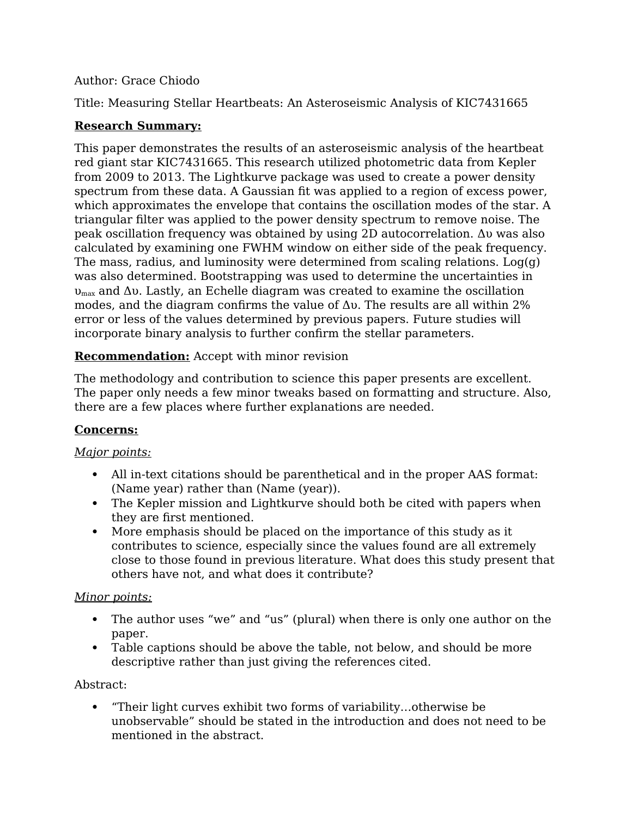## Author: Grace Chiodo

Title: Measuring Stellar Heartbeats: An Asteroseismic Analysis of KIC7431665

# **Research Summary:**

This paper demonstrates the results of an asteroseismic analysis of the heartbeat red giant star KIC7431665. This research utilized photometric data from Kepler from 2009 to 2013. The Lightkurve package was used to create a power density spectrum from these data. A Gaussian fit was applied to a region of excess power, which approximates the envelope that contains the oscillation modes of the star. A triangular filter was applied to the power density spectrum to remove noise. The peak oscillation frequency was obtained by using 2D autocorrelation. Δυ was also calculated by examining one FWHM window on either side of the peak frequency. The mass, radius, and luminosity were determined from scaling relations.  $Log(q)$ was also determined. Bootstrapping was used to determine the uncertainties in  $v_{\text{max}}$  and  $\Delta v$ . Lastly, an Echelle diagram was created to examine the oscillation modes, and the diagram confirms the value of  $\Delta v$ . The results are all within 2% error or less of the values determined by previous papers. Future studies will incorporate binary analysis to further confirm the stellar parameters.

## **Recommendation:** Accept with minor revision

The methodology and contribution to science this paper presents are excellent. The paper only needs a few minor tweaks based on formatting and structure. Also, there are a few places where further explanations are needed.

# **Concerns:**

## *Major points:*

- All in-text citations should be parenthetical and in the proper AAS format: (Name year) rather than (Name (year)).
- The Kepler mission and Lightkurve should both be cited with papers when they are first mentioned.
- More emphasis should be placed on the importance of this study as it contributes to science, especially since the values found are all extremely close to those found in previous literature. What does this study present that others have not, and what does it contribute?

## *Minor points:*

- The author uses "we" and "us" (plural) when there is only one author on the paper.
- Table captions should be above the table, not below, and should be more descriptive rather than just giving the references cited.

## Abstract:

 "Their light curves exhibit two forms of variability…otherwise be unobservable" should be stated in the introduction and does not need to be mentioned in the abstract.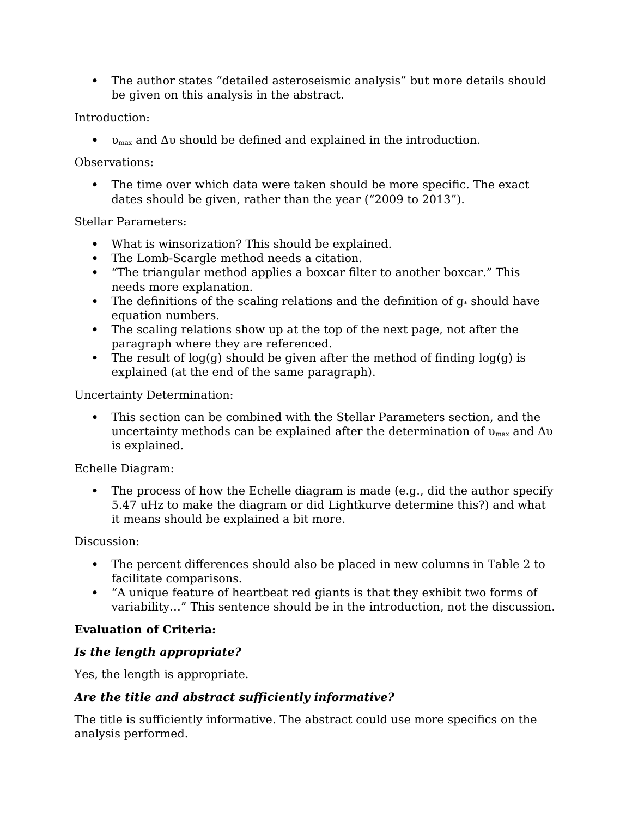The author states "detailed asteroseismic analysis" but more details should be given on this analysis in the abstract.

Introduction:

 $\bullet$   $\nu_{\text{max}}$  and  $\Delta \nu$  should be defined and explained in the introduction.

Observations:

 The time over which data were taken should be more specific. The exact dates should be given, rather than the year ("2009 to 2013").

Stellar Parameters:

- What is winsorization? This should be explained.
- The Lomb-Scargle method needs a citation.
- "The triangular method applies a boxcar filter to another boxcar." This needs more explanation.
- The definitions of the scaling relations and the definition of  $g_*$  should have equation numbers.
- The scaling relations show up at the top of the next page, not after the paragraph where they are referenced.
- The result of  $log(q)$  should be given after the method of finding  $log(q)$  is explained (at the end of the same paragraph).

Uncertainty Determination:

 This section can be combined with the Stellar Parameters section, and the uncertainty methods can be explained after the determination of  $v_{\text{max}}$  and  $\Delta v$ is explained.

Echelle Diagram:

• The process of how the Echelle diagram is made (e.g., did the author specify 5.47 uHz to make the diagram or did Lightkurve determine this?) and what it means should be explained a bit more.

Discussion:

- The percent differences should also be placed in new columns in Table 2 to facilitate comparisons.
- "A unique feature of heartbeat red giants is that they exhibit two forms of variability…" This sentence should be in the introduction, not the discussion.

# **Evaluation of Criteria:**

# *Is the length appropriate?*

Yes, the length is appropriate.

# *Are the title and abstract sufficiently informative?*

The title is sufficiently informative. The abstract could use more specifics on the analysis performed.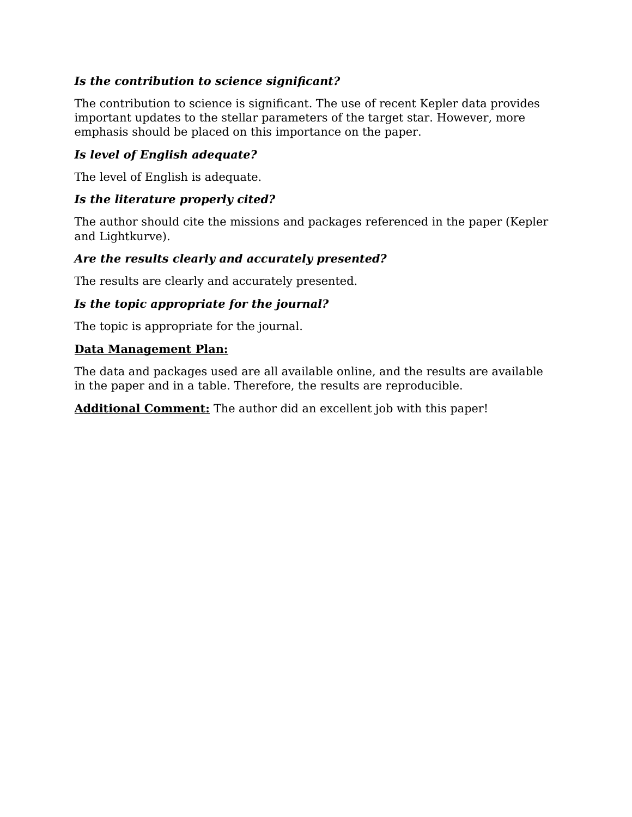# *Is the contribution to science significant?*

The contribution to science is significant. The use of recent Kepler data provides important updates to the stellar parameters of the target star. However, more emphasis should be placed on this importance on the paper.

# *Is level of English adequate?*

The level of English is adequate.

# *Is the literature properly cited?*

The author should cite the missions and packages referenced in the paper (Kepler and Lightkurve).

# *Are the results clearly and accurately presented?*

The results are clearly and accurately presented.

# *Is the topic appropriate for the journal?*

The topic is appropriate for the journal.

# **Data Management Plan:**

The data and packages used are all available online, and the results are available in the paper and in a table. Therefore, the results are reproducible.

**Additional Comment:** The author did an excellent job with this paper!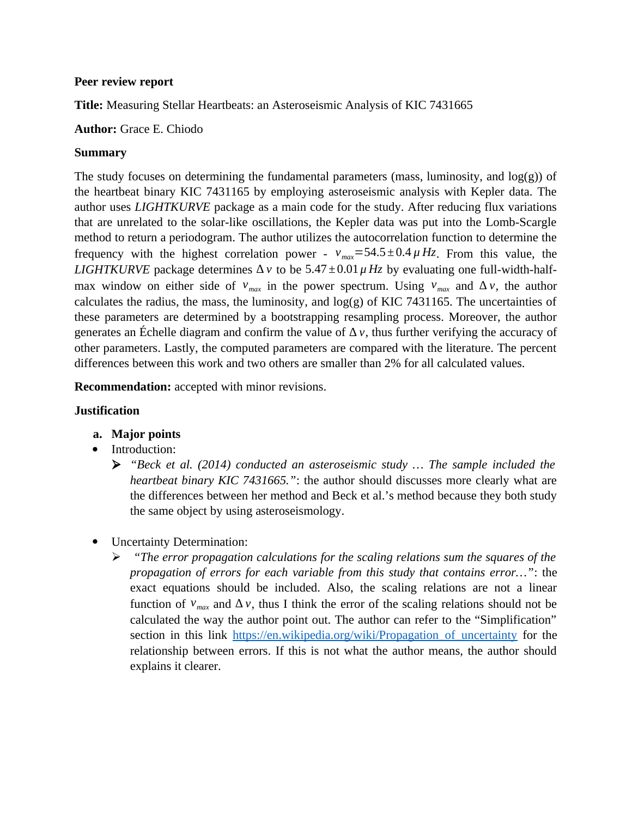### **Peer review report**

**Title:** Measuring Stellar Heartbeats: an Asteroseismic Analysis of KIC 7431665

### **Author:** Grace E. Chiodo

### **Summary**

The study focuses on determining the fundamental parameters (mass, luminosity, and  $log(g)$ ) of the heartbeat binary KIC 7431165 by employing asteroseismic analysis with Kepler data. The author uses *LIGHTKURVE* package as a main code for the study. After reducing flux variations that are unrelated to the solar-like oscillations, the Kepler data was put into the Lomb-Scargle method to return a periodogram. The author utilizes the autocorrelation function to determine the frequency with the highest correlation power -  $v_{max} = 54.5 \pm 0.4 \,\mu \text{ Hz}$ . From this value, the *LIGHTKURVE* package determines  $\Delta v$  to be 5.47 ± 0.01  $\mu$  *Hz* by evaluating one full-width-halfmax window on either side of  $v_{max}$  in the power spectrum. Using  $v_{max}$  and  $\Delta v$ , the author calculates the radius, the mass, the luminosity, and  $log(g)$  of KIC 7431165. The uncertainties of these parameters are determined by a bootstrapping resampling process. Moreover, the author generates an Échelle diagram and confirm the value of *∆ ν*, thus further verifying the accuracy of other parameters. Lastly, the computed parameters are compared with the literature. The percent differences between this work and two others are smaller than 2% for all calculated values.

**Recommendation:** accepted with minor revisions.

### **Justification**

- **a. Major points**
- Introduction:
	- *"Beck et al. (2014) conducted an asteroseismic study … The sample included the heartbeat binary KIC 7431665."*: the author should discusses more clearly what are the differences between her method and Beck et al.'s method because they both study the same object by using asteroseismology.
- Uncertainty Determination:
	- *"The error propagation calculations for the scaling relations sum the squares of the propagation of errors for each variable from this study that contains error…"*: the exact equations should be included. Also, the scaling relations are not a linear function of  $v_{max}$  and  $\Delta v$ , thus I think the error of the scaling relations should not be calculated the way the author point out. The author can refer to the "Simplification" section in this link https://en.wikipedia.org/wiki/Propagation of uncertainty for the relationship between errors. If this is not what the author means, the author should explains it clearer.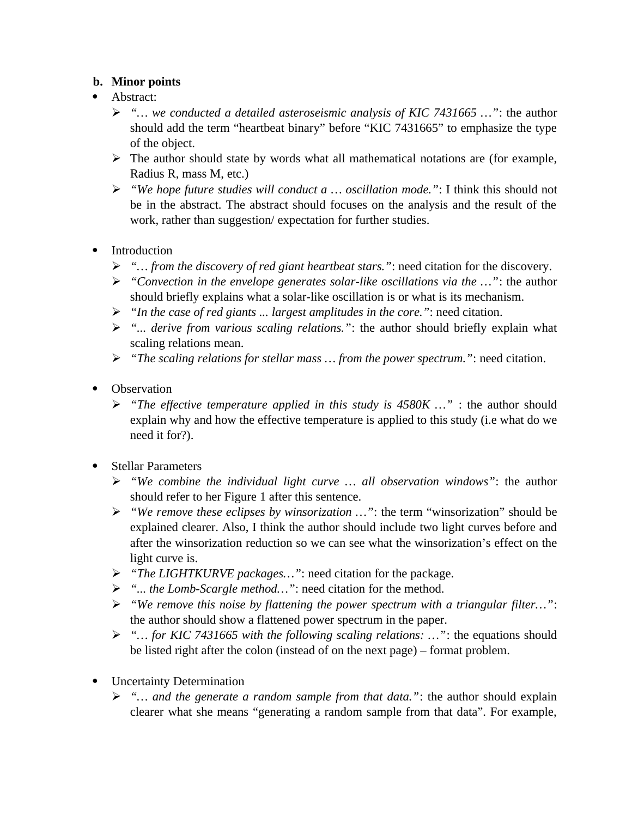# **b. Minor points**

- Abstract:
	- *"… we conducted a detailed asteroseismic analysis of KIC 7431665 …"*: the author should add the term "heartbeat binary" before "KIC 7431665" to emphasize the type of the object.
	- $\triangleright$  The author should state by words what all mathematical notations are (for example, Radius R, mass M, etc.)
	- *"We hope future studies will conduct a … oscillation mode."*: I think this should not be in the abstract. The abstract should focuses on the analysis and the result of the work, rather than suggestion/ expectation for further studies.
- Introduction
	- *"… from the discovery of red giant heartbeat stars."*: need citation for the discovery.
	- *"Convection in the envelope generates solar-like oscillations via the …"*: the author should briefly explains what a solar-like oscillation is or what is its mechanism.
	- *"In the case of red giants ... largest amplitudes in the core."*: need citation.
	- *"... derive from various scaling relations."*: the author should briefly explain what scaling relations mean.
	- *"The scaling relations for stellar mass … from the power spectrum."*: need citation.
- Observation
	- *"The effective temperature applied in this study is 4580K …"* : the author should explain why and how the effective temperature is applied to this study (i.e what do we need it for?).
- Stellar Parameters
	- *"We combine the individual light curve … all observation windows"*: the author should refer to her Figure 1 after this sentence.
	- *"We remove these eclipses by winsorization …"*: the term "winsorization" should be explained clearer. Also, I think the author should include two light curves before and after the winsorization reduction so we can see what the winsorization's effect on the light curve is.
	- *"The LIGHTKURVE packages…"*: need citation for the package.
	- *"... the Lomb-Scargle method…"*: need citation for the method.
	- *"We remove this noise by flattening the power spectrum with a triangular filter…"*: the author should show a flattened power spectrum in the paper.
	- *"… for KIC 7431665 with the following scaling relations: …"*: the equations should be listed right after the colon (instead of on the next page) – format problem.
- Uncertainty Determination
	- *"… and the generate a random sample from that data."*: the author should explain clearer what she means "generating a random sample from that data". For example,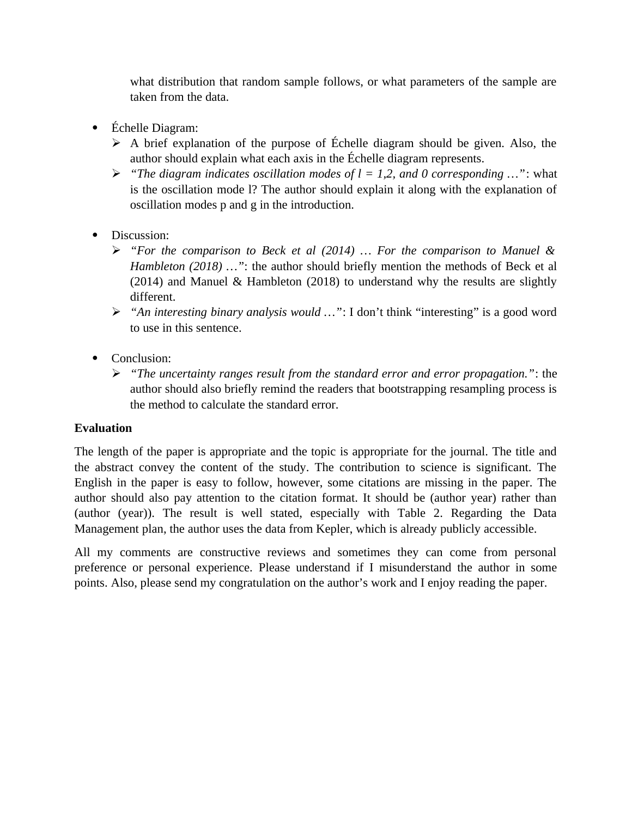what distribution that random sample follows, or what parameters of the sample are taken from the data.

- Échelle Diagram:
	- $\triangleright$  A brief explanation of the purpose of Échelle diagram should be given. Also, the author should explain what each axis in the Échelle diagram represents.
	- *"The diagram indicates oscillation modes of l = 1,2, and 0 corresponding …"*: what is the oscillation mode l? The author should explain it along with the explanation of oscillation modes p and g in the introduction.
- Discussion:
	- *"For the comparison to Beck et al (2014) … For the comparison to Manuel & Hambleton (2018) ...*": the author should briefly mention the methods of Beck et al (2014) and Manuel & Hambleton (2018) to understand why the results are slightly different.
	- *"An interesting binary analysis would …"*: I don't think "interesting" is a good word to use in this sentence.
- Conclusion:
	- *"The uncertainty ranges result from the standard error and error propagation."*: the author should also briefly remind the readers that bootstrapping resampling process is the method to calculate the standard error.

# **Evaluation**

The length of the paper is appropriate and the topic is appropriate for the journal. The title and the abstract convey the content of the study. The contribution to science is significant. The English in the paper is easy to follow, however, some citations are missing in the paper. The author should also pay attention to the citation format. It should be (author year) rather than (author (year)). The result is well stated, especially with Table 2. Regarding the Data Management plan, the author uses the data from Kepler, which is already publicly accessible.

All my comments are constructive reviews and sometimes they can come from personal preference or personal experience. Please understand if I misunderstand the author in some points. Also, please send my congratulation on the author's work and I enjoy reading the paper.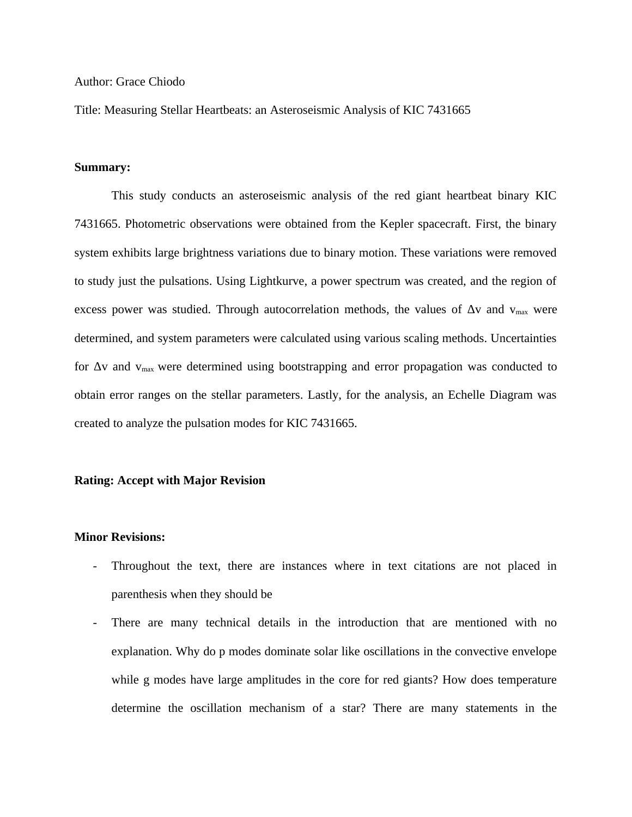### Author: Grace Chiodo

Title: Measuring Stellar Heartbeats: an Asteroseismic Analysis of KIC 7431665

### **Summary:**

This study conducts an asteroseismic analysis of the red giant heartbeat binary KIC 7431665. Photometric observations were obtained from the Kepler spacecraft. First, the binary system exhibits large brightness variations due to binary motion. These variations were removed to study just the pulsations. Using Lightkurve, a power spectrum was created, and the region of excess power was studied. Through autocorrelation methods, the values of  $\Delta v$  and  $v_{\text{max}}$  were determined, and system parameters were calculated using various scaling methods. Uncertainties for  $\Delta v$  and  $v_{\text{max}}$  were determined using bootstrapping and error propagation was conducted to obtain error ranges on the stellar parameters. Lastly, for the analysis, an Echelle Diagram was created to analyze the pulsation modes for KIC 7431665.

#### **Rating: Accept with Major Revision**

### **Minor Revisions:**

- Throughout the text, there are instances where in text citations are not placed in parenthesis when they should be
- There are many technical details in the introduction that are mentioned with no explanation. Why do p modes dominate solar like oscillations in the convective envelope while g modes have large amplitudes in the core for red giants? How does temperature determine the oscillation mechanism of a star? There are many statements in the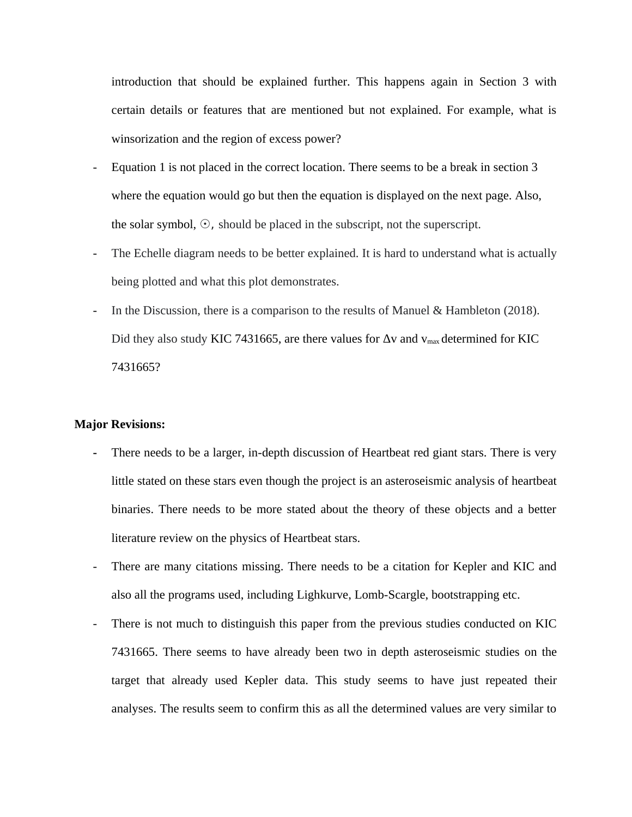introduction that should be explained further. This happens again in Section 3 with certain details or features that are mentioned but not explained. For example, what is winsorization and the region of excess power?

- Equation 1 is not placed in the correct location. There seems to be a break in section 3 where the equation would go but then the equation is displayed on the next page. Also, the solar symbol,  $\odot$ , should be placed in the subscript, not the superscript.
- The Echelle diagram needs to be better explained. It is hard to understand what is actually being plotted and what this plot demonstrates.
- In the Discussion, there is a comparison to the results of Manuel & Hambleton (2018). Did they also study KIC 7431665, are there values for  $\Delta v$  and  $v_{\text{max}}$  determined for KIC 7431665?

### **Major Revisions:**

- **-** There needs to be a larger, in-depth discussion of Heartbeat red giant stars. There is very little stated on these stars even though the project is an asteroseismic analysis of heartbeat binaries. There needs to be more stated about the theory of these objects and a better literature review on the physics of Heartbeat stars.
- There are many citations missing. There needs to be a citation for Kepler and KIC and also all the programs used, including Lighkurve, Lomb-Scargle, bootstrapping etc.
- There is not much to distinguish this paper from the previous studies conducted on KIC 7431665. There seems to have already been two in depth asteroseismic studies on the target that already used Kepler data. This study seems to have just repeated their analyses. The results seem to confirm this as all the determined values are very similar to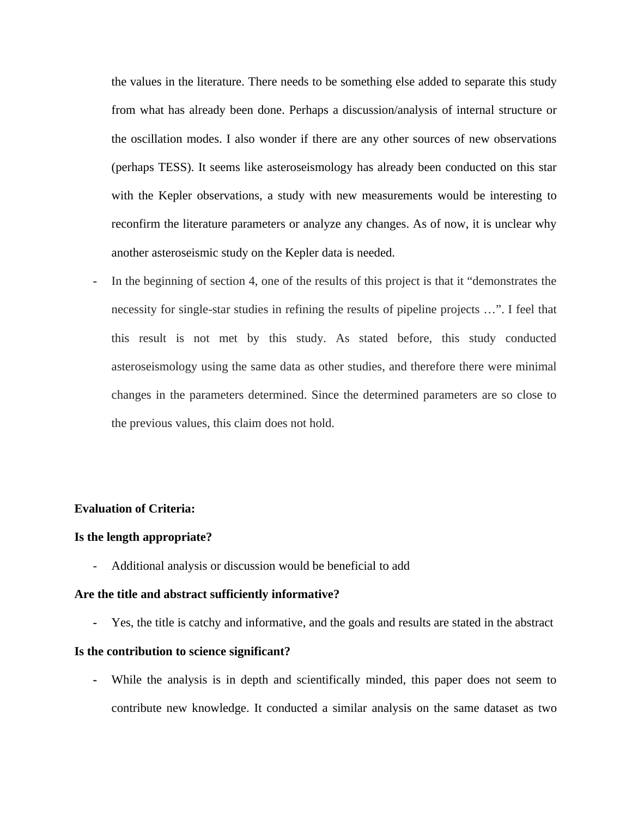the values in the literature. There needs to be something else added to separate this study from what has already been done. Perhaps a discussion/analysis of internal structure or the oscillation modes. I also wonder if there are any other sources of new observations (perhaps TESS). It seems like asteroseismology has already been conducted on this star with the Kepler observations, a study with new measurements would be interesting to reconfirm the literature parameters or analyze any changes. As of now, it is unclear why another asteroseismic study on the Kepler data is needed.

In the beginning of section 4, one of the results of this project is that it "demonstrates the necessity for single-star studies in refining the results of pipeline projects …". I feel that this result is not met by this study. As stated before, this study conducted asteroseismology using the same data as other studies, and therefore there were minimal changes in the parameters determined. Since the determined parameters are so close to the previous values, this claim does not hold.

### **Evaluation of Criteria:**

#### **Is the length appropriate?**

Additional analysis or discussion would be beneficial to add

#### **Are the title and abstract sufficiently informative?**

**-** Yes, the title is catchy and informative, and the goals and results are stated in the abstract

#### **Is the contribution to science significant?**

**-** While the analysis is in depth and scientifically minded, this paper does not seem to contribute new knowledge. It conducted a similar analysis on the same dataset as two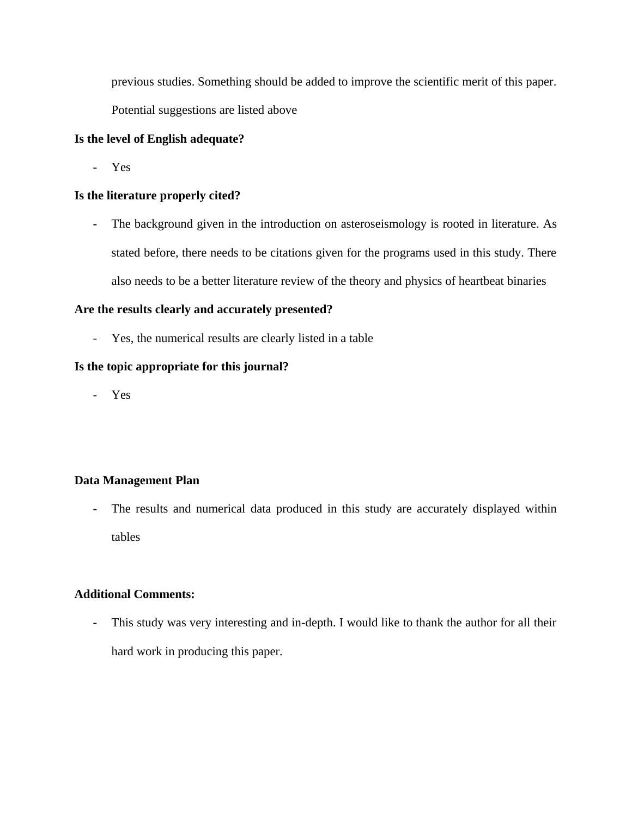previous studies. Something should be added to improve the scientific merit of this paper.

Potential suggestions are listed above

## **Is the level of English adequate?**

**-** Yes

## **Is the literature properly cited?**

**-** The background given in the introduction on asteroseismology is rooted in literature. As stated before, there needs to be citations given for the programs used in this study. There also needs to be a better literature review of the theory and physics of heartbeat binaries

## **Are the results clearly and accurately presented?**

- Yes, the numerical results are clearly listed in a table

## **Is the topic appropriate for this journal?**

- Yes

### **Data Management Plan**

**-** The results and numerical data produced in this study are accurately displayed within tables

### **Additional Comments:**

**-** This study was very interesting and in-depth. I would like to thank the author for all their hard work in producing this paper.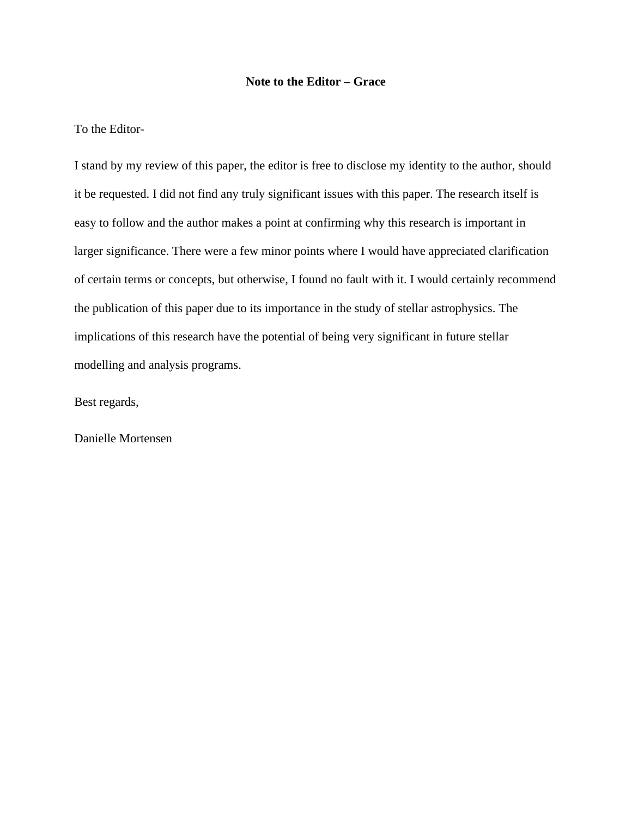### **Note to the Editor – Grace**

To the Editor-

I stand by my review of this paper, the editor is free to disclose my identity to the author, should it be requested. I did not find any truly significant issues with this paper. The research itself is easy to follow and the author makes a point at confirming why this research is important in larger significance. There were a few minor points where I would have appreciated clarification of certain terms or concepts, but otherwise, I found no fault with it. I would certainly recommend the publication of this paper due to its importance in the study of stellar astrophysics. The implications of this research have the potential of being very significant in future stellar modelling and analysis programs.

Best regards,

Danielle Mortensen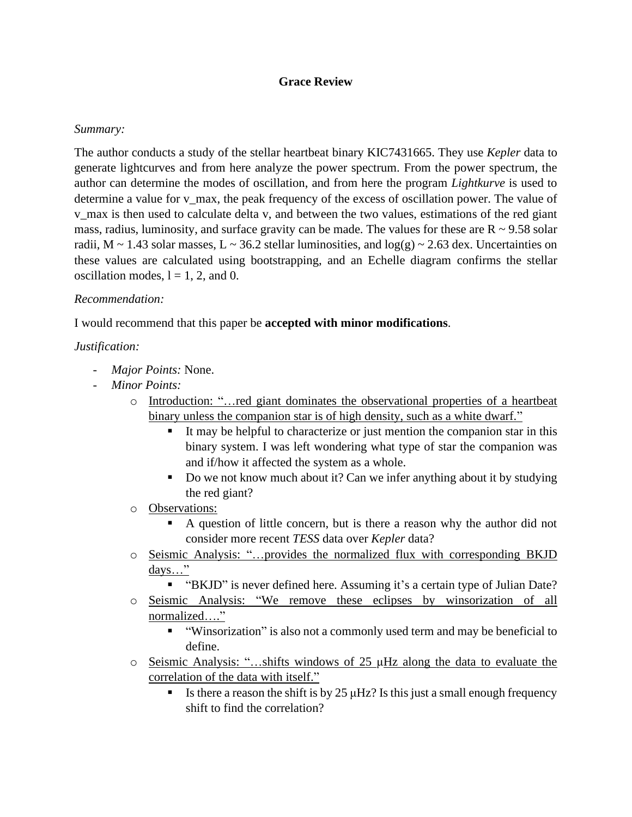## **Grace Review**

### *Summary:*

The author conducts a study of the stellar heartbeat binary KIC7431665. They use *Kepler* data to generate lightcurves and from here analyze the power spectrum. From the power spectrum, the author can determine the modes of oscillation, and from here the program *Lightkurve* is used to determine a value for v\_max, the peak frequency of the excess of oscillation power. The value of v\_max is then used to calculate delta v, and between the two values, estimations of the red giant mass, radius, luminosity, and surface gravity can be made. The values for these are  $R \sim 9.58$  solar radii, M ~ 1.43 solar masses, L ~ 36.2 stellar luminosities, and  $log(g)$  ~ 2.63 dex. Uncertainties on these values are calculated using bootstrapping, and an Echelle diagram confirms the stellar oscillation modes,  $l = 1, 2,$  and 0.

## *Recommendation:*

I would recommend that this paper be **accepted with minor modifications**.

## *Justification:*

- *Major Points:* None.
- *Minor Points:*
	- o Introduction: "…red giant dominates the observational properties of a heartbeat binary unless the companion star is of high density, such as a white dwarf."
		- It may be helpful to characterize or just mention the companion star in this binary system. I was left wondering what type of star the companion was and if/how it affected the system as a whole.
		- Do we not know much about it? Can we infer anything about it by studying the red giant?
	- o Observations:
		- A question of little concern, but is there a reason why the author did not consider more recent *TESS* data over *Kepler* data?
	- o Seismic Analysis: "…provides the normalized flux with corresponding BKJD days…"
		- "BKJD" is never defined here. Assuming it's a certain type of Julian Date?
	- o Seismic Analysis: "We remove these eclipses by winsorization of all normalized…."
		- "Winsorization" is also not a commonly used term and may be beneficial to define.
	- $\circ$  Seismic Analysis: "...shifts windows of 25  $\mu$ Hz along the data to evaluate the correlation of the data with itself."
		- **Example 1** Is there a reason the shift is by 25  $\mu$ Hz? Is this just a small enough frequency shift to find the correlation?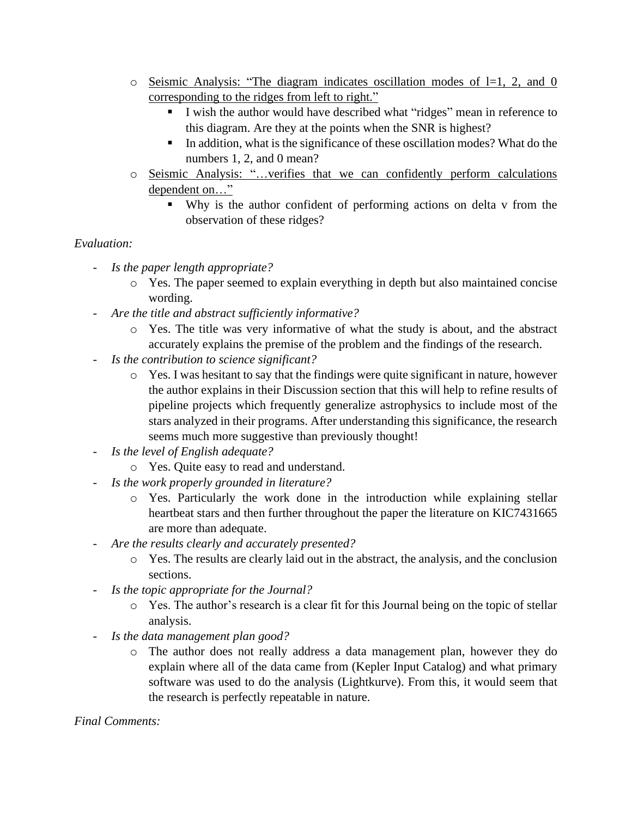- $\circ$  Seismic Analysis: "The diagram indicates oscillation modes of l=1, 2, and 0 corresponding to the ridges from left to right."
	- I wish the author would have described what "ridges" mean in reference to this diagram. Are they at the points when the SNR is highest?
	- In addition, what is the significance of these oscillation modes? What do the numbers 1, 2, and 0 mean?
- o Seismic Analysis: "…verifies that we can confidently perform calculations dependent on…"
	- Why is the author confident of performing actions on delta v from the observation of these ridges?

# *Evaluation:*

- *Is the paper length appropriate?*
	- o Yes. The paper seemed to explain everything in depth but also maintained concise wording.
- *Are the title and abstract sufficiently informative?*
	- o Yes. The title was very informative of what the study is about, and the abstract accurately explains the premise of the problem and the findings of the research.
- *Is the contribution to science significant?*
	- o Yes. I was hesitant to say that the findings were quite significant in nature, however the author explains in their Discussion section that this will help to refine results of pipeline projects which frequently generalize astrophysics to include most of the stars analyzed in their programs. After understanding this significance, the research seems much more suggestive than previously thought!
- *Is the level of English adequate?*
	- o Yes. Quite easy to read and understand.
- *Is the work properly grounded in literature?*
	- o Yes. Particularly the work done in the introduction while explaining stellar heartbeat stars and then further throughout the paper the literature on KIC7431665 are more than adequate.
- *Are the results clearly and accurately presented?*
	- o Yes. The results are clearly laid out in the abstract, the analysis, and the conclusion sections.
- *Is the topic appropriate for the Journal?*
	- o Yes. The author's research is a clear fit for this Journal being on the topic of stellar analysis.
- *Is the data management plan good?*
	- o The author does not really address a data management plan, however they do explain where all of the data came from (Kepler Input Catalog) and what primary software was used to do the analysis (Lightkurve). From this, it would seem that the research is perfectly repeatable in nature.

## *Final Comments:*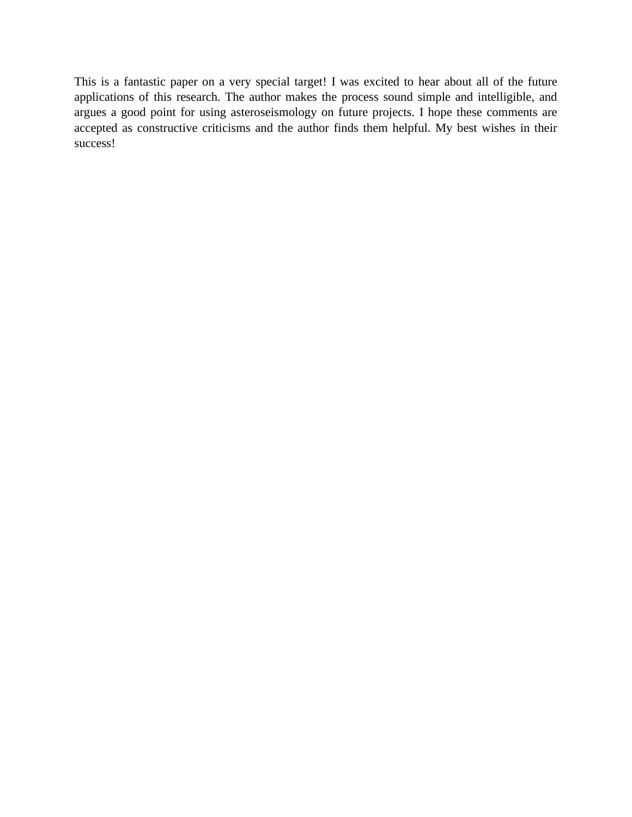This is a fantastic paper on a very special target! I was excited to hear about all of the future applications of this research. The author makes the process sound simple and intelligible, and argues a good point for using asteroseismology on future projects. I hope these comments are accepted as constructive criticisms and the author finds them helpful. My best wishes in their success!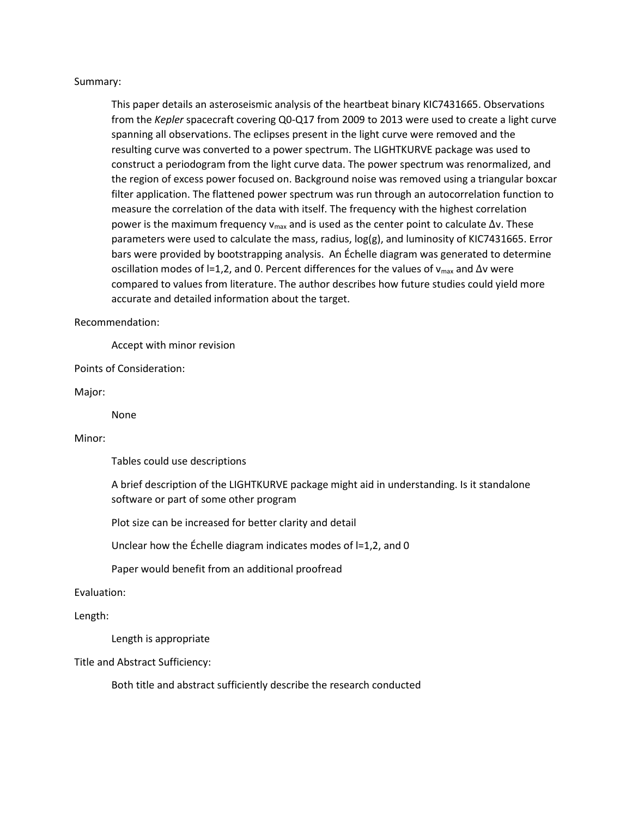#### Summary:

This paper details an asteroseismic analysis of the heartbeat binary KIC7431665. Observations from the *Kepler* spacecraft covering Q0-Q17 from 2009 to 2013 were used to create a light curve spanning all observations. The eclipses present in the light curve were removed and the resulting curve was converted to a power spectrum. The LIGHTKURVE package was used to construct a periodogram from the light curve data. The power spectrum was renormalized, and the region of excess power focused on. Background noise was removed using a triangular boxcar filter application. The flattened power spectrum was run through an autocorrelation function to measure the correlation of the data with itself. The frequency with the highest correlation power is the maximum frequency  $v_{\text{max}}$  and is used as the center point to calculate  $\Delta v$ . These parameters were used to calculate the mass, radius, log(g), and luminosity of KIC7431665. Error bars were provided by bootstrapping analysis. An Échelle diagram was generated to determine oscillation modes of l=1,2, and 0. Percent differences for the values of  $v_{max}$  and Δv were compared to values from literature. The author describes how future studies could yield more accurate and detailed information about the target.

Recommendation:

Accept with minor revision

Points of Consideration:

Major:

None

#### Minor:

Tables could use descriptions

A brief description of the LIGHTKURVE package might aid in understanding. Is it standalone software or part of some other program

Plot size can be increased for better clarity and detail

Unclear how the Échelle diagram indicates modes of I=1,2, and 0

Paper would benefit from an additional proofread

#### Evaluation:

Length:

Length is appropriate

Title and Abstract Sufficiency:

Both title and abstract sufficiently describe the research conducted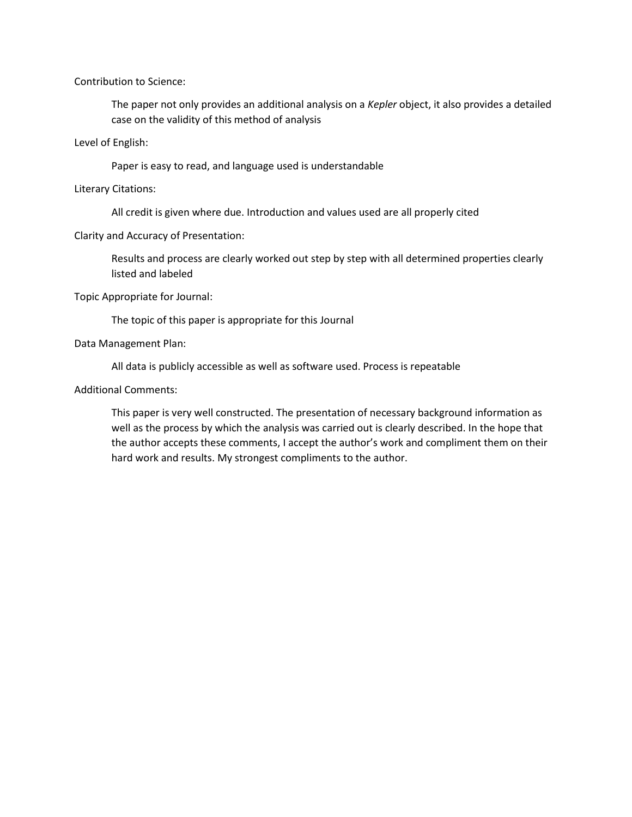Contribution to Science:

The paper not only provides an additional analysis on a *Kepler* object, it also provides a detailed case on the validity of this method of analysis

Level of English:

Paper is easy to read, and language used is understandable

Literary Citations:

All credit is given where due. Introduction and values used are all properly cited

Clarity and Accuracy of Presentation:

Results and process are clearly worked out step by step with all determined properties clearly listed and labeled

Topic Appropriate for Journal:

The topic of this paper is appropriate for this Journal

Data Management Plan:

All data is publicly accessible as well as software used. Process is repeatable

Additional Comments:

This paper is very well constructed. The presentation of necessary background information as well as the process by which the analysis was carried out is clearly described. In the hope that the author accepts these comments, I accept the author's work and compliment them on their hard work and results. My strongest compliments to the author.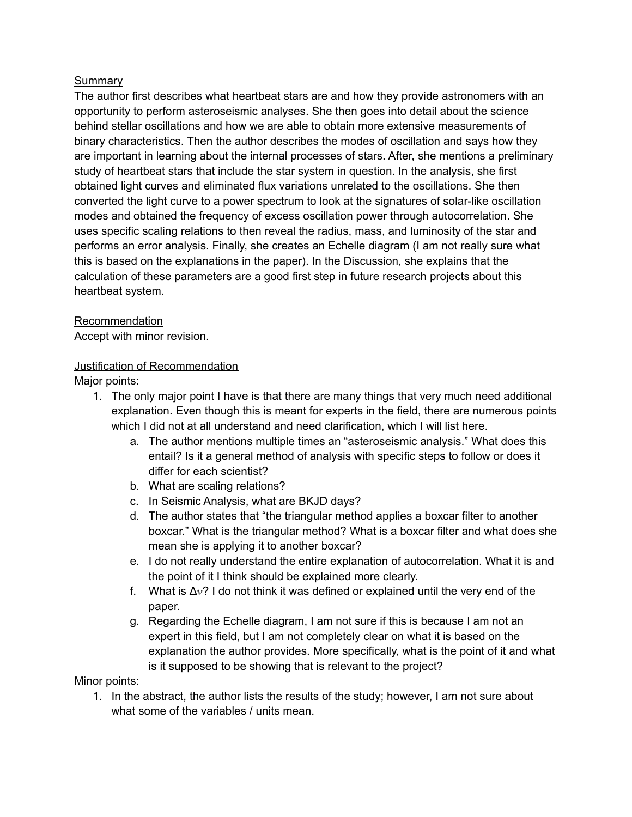## Summary

The author first describes what heartbeat stars are and how they provide astronomers with an opportunity to perform asteroseismic analyses. She then goes into detail about the science behind stellar oscillations and how we are able to obtain more extensive measurements of binary characteristics. Then the author describes the modes of oscillation and says how they are important in learning about the internal processes of stars. After, she mentions a preliminary study of heartbeat stars that include the star system in question. In the analysis, she first obtained light curves and eliminated flux variations unrelated to the oscillations. She then converted the light curve to a power spectrum to look at the signatures of solar-like oscillation modes and obtained the frequency of excess oscillation power through autocorrelation. She uses specific scaling relations to then reveal the radius, mass, and luminosity of the star and performs an error analysis. Finally, she creates an Echelle diagram (I am not really sure what this is based on the explanations in the paper). In the Discussion, she explains that the calculation of these parameters are a good first step in future research projects about this heartbeat system.

# Recommendation

Accept with minor revision.

## Justification of Recommendation

Major points:

- 1. The only major point I have is that there are many things that very much need additional explanation. Even though this is meant for experts in the field, there are numerous points which I did not at all understand and need clarification, which I will list here.
	- a. The author mentions multiple times an "asteroseismic analysis." What does this entail? Is it a general method of analysis with specific steps to follow or does it differ for each scientist?
	- b. What are scaling relations?
	- c. In Seismic Analysis, what are BKJD days?
	- d. The author states that "the triangular method applies a boxcar filter to another boxcar." What is the triangular method? What is a boxcar filter and what does she mean she is applying it to another boxcar?
	- e. I do not really understand the entire explanation of autocorrelation. What it is and the point of it I think should be explained more clearly.
	- f. What is  $\Delta v$ ? I do not think it was defined or explained until the very end of the paper.
	- g. Regarding the Echelle diagram, I am not sure if this is because I am not an expert in this field, but I am not completely clear on what it is based on the explanation the author provides. More specifically, what is the point of it and what is it supposed to be showing that is relevant to the project?

Minor points:

1. In the abstract, the author lists the results of the study; however, I am not sure about what some of the variables / units mean.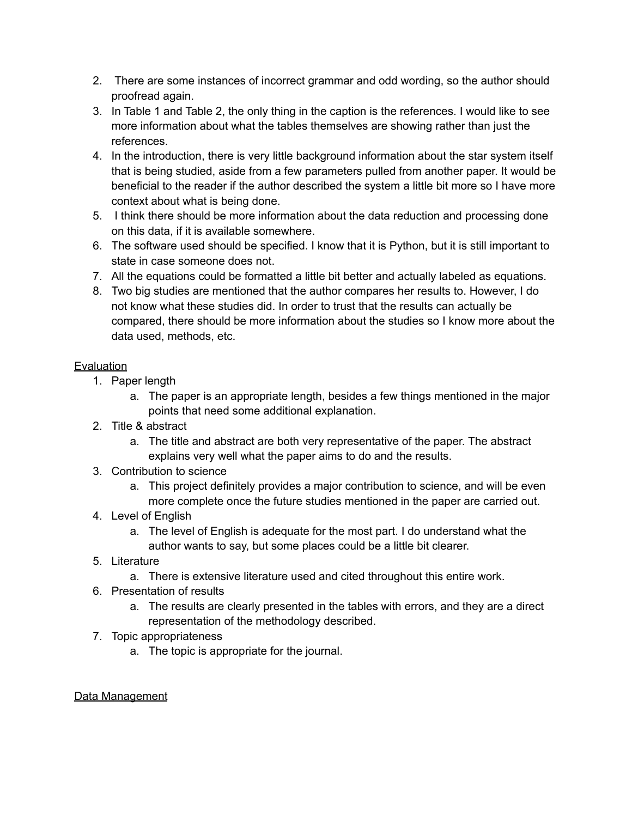- 2. There are some instances of incorrect grammar and odd wording, so the author should proofread again.
- 3. In Table 1 and Table 2, the only thing in the caption is the references. I would like to see more information about what the tables themselves are showing rather than just the references.
- 4. In the introduction, there is very little background information about the star system itself that is being studied, aside from a few parameters pulled from another paper. It would be beneficial to the reader if the author described the system a little bit more so I have more context about what is being done.
- 5. I think there should be more information about the data reduction and processing done on this data, if it is available somewhere.
- 6. The software used should be specified. I know that it is Python, but it is still important to state in case someone does not.
- 7. All the equations could be formatted a little bit better and actually labeled as equations.
- 8. Two big studies are mentioned that the author compares her results to. However, I do not know what these studies did. In order to trust that the results can actually be compared, there should be more information about the studies so I know more about the data used, methods, etc.

# Evaluation

- 1. Paper length
	- a. The paper is an appropriate length, besides a few things mentioned in the major points that need some additional explanation.
- 2. Title & abstract
	- a. The title and abstract are both very representative of the paper. The abstract explains very well what the paper aims to do and the results.
- 3. Contribution to science
	- a. This project definitely provides a major contribution to science, and will be even more complete once the future studies mentioned in the paper are carried out.
- 4. Level of English
	- a. The level of English is adequate for the most part. I do understand what the author wants to say, but some places could be a little bit clearer.
- 5. Literature
	- a. There is extensive literature used and cited throughout this entire work.
- 6. Presentation of results
	- a. The results are clearly presented in the tables with errors, and they are a direct representation of the methodology described.
- 7. Topic appropriateness
	- a. The topic is appropriate for the journal.

## Data Management